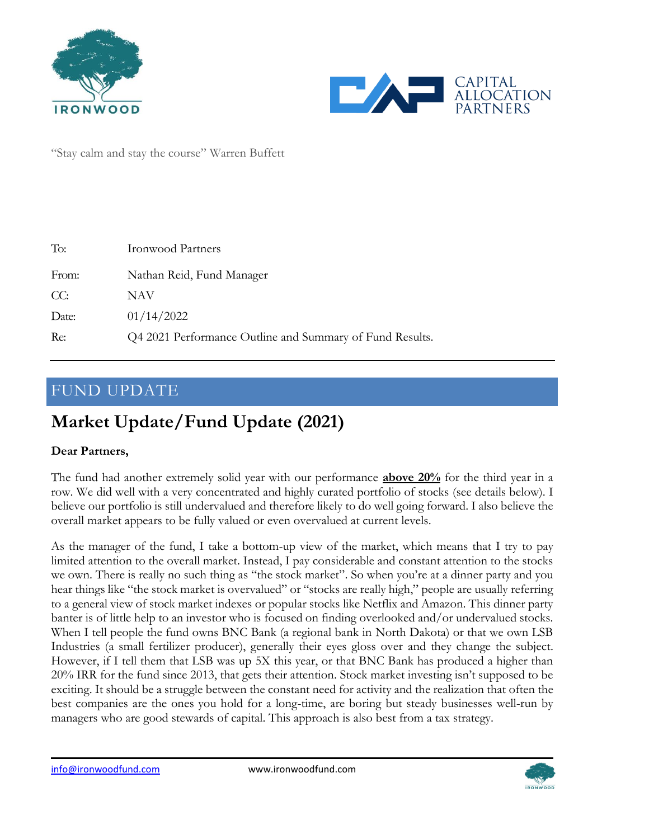



"Stay calm and stay the course" Warren Buffett

| To:   | <b>Ironwood Partners</b>                                 |
|-------|----------------------------------------------------------|
| From: | Nathan Reid, Fund Manager                                |
| CC:   | NAV                                                      |
| Date: | 01/14/2022                                               |
| Re:   | Q4 2021 Performance Outline and Summary of Fund Results. |

## FUND UPDATE

# **Market Update/Fund Update (2021)**

#### **Dear Partners,**

The fund had another extremely solid year with our performance **above 20%** for the third year in a row. We did well with a very concentrated and highly curated portfolio of stocks (see details below). I believe our portfolio is still undervalued and therefore likely to do well going forward. I also believe the overall market appears to be fully valued or even overvalued at current levels.

As the manager of the fund, I take a bottom-up view of the market, which means that I try to pay limited attention to the overall market. Instead, I pay considerable and constant attention to the stocks we own. There is really no such thing as "the stock market". So when you're at a dinner party and you hear things like "the stock market is overvalued" or "stocks are really high," people are usually referring to a general view of stock market indexes or popular stocks like Netflix and Amazon. This dinner party banter is of little help to an investor who is focused on finding overlooked and/or undervalued stocks. When I tell people the fund owns BNC Bank (a regional bank in North Dakota) or that we own LSB Industries (a small fertilizer producer), generally their eyes gloss over and they change the subject. However, if I tell them that LSB was up 5X this year, or that BNC Bank has produced a higher than 20% IRR for the fund since 2013, that gets their attention. Stock market investing isn't supposed to be exciting. It should be a struggle between the constant need for activity and the realization that often the best companies are the ones you hold for a long-time, are boring but steady businesses well-run by managers who are good stewards of capital. This approach is also best from a tax strategy.

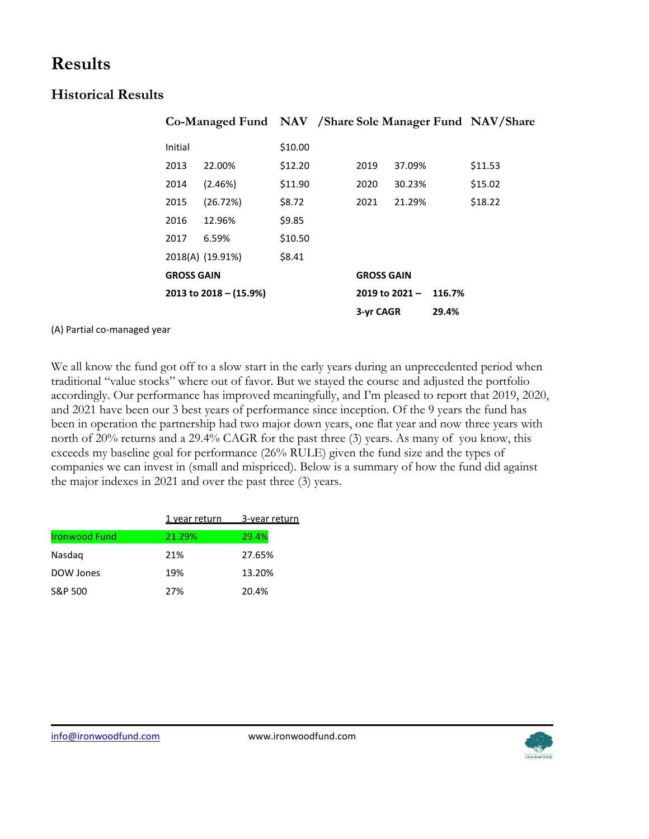## **Results**

### **Historical Results**

|                          |         | Co-Managed Fund NAV / Share Sole Manager Fund NAV/Share |         |                         |           |       |         |  |
|--------------------------|---------|---------------------------------------------------------|---------|-------------------------|-----------|-------|---------|--|
|                          | Initial |                                                         | \$10.00 |                         |           |       |         |  |
|                          | 2013    | 22.00%                                                  | \$12.20 | 2019                    | 37.09%    |       | \$11.53 |  |
|                          | 2014    | (2.46%)                                                 | \$11.90 | 2020                    | 30.23%    |       | \$15.02 |  |
|                          | 2015    | (26.72%)                                                | \$8.72  | 2021                    | 21.29%    |       | \$18.22 |  |
|                          | 2016    | 12.96%                                                  | \$9.85  |                         |           |       |         |  |
|                          | 2017    | 6.59%                                                   | \$10.50 |                         |           |       |         |  |
|                          |         | 2018(A) (19.91%)                                        | \$8.41  |                         |           |       |         |  |
| <b>GROSS GAIN</b>        |         |                                                         |         | <b>GROSS GAIN</b>       |           |       |         |  |
| 2013 to $2018 - (15.9%)$ |         |                                                         |         | 2019 to 2021-<br>116.7% |           |       |         |  |
|                          |         |                                                         |         |                         | 3-yr CAGR | 29.4% |         |  |

(A) Partial co-managed year

We all know the fund got off to a slow start in the early years during an unprecedented period when traditional "value stocks" where out of favor. But we stayed the course and adjusted the portfolio accordingly. Our performance has improved meaningfully, and I'm pleased to report that 2019, 2020, and 2021 have been our 3 best years of performance since inception. Of the 9 years the fund has been in operation the partnership had two major down years, one flat year and now three years with north of 20% returns and a 29.4% CAGR for the past three (3) years. As many of you know, this exceeds my baseline goal for performance (26% RULE) given the fund size and the types of companies we can invest in (small and mispriced). Below is a summary of how the fund did against the major indexes in 2021 and over the past three (3) years.

|                      | 1 year return | 3-year return |
|----------------------|---------------|---------------|
| <b>Ironwood Fund</b> | 21.29%        | 29.4%         |
| Nasdag               | 21%           | 27.65%        |
| DOW Jones            | 19%           | 13.20%        |
| S&P 500              | 27%           | 20.4%         |
|                      |               |               |

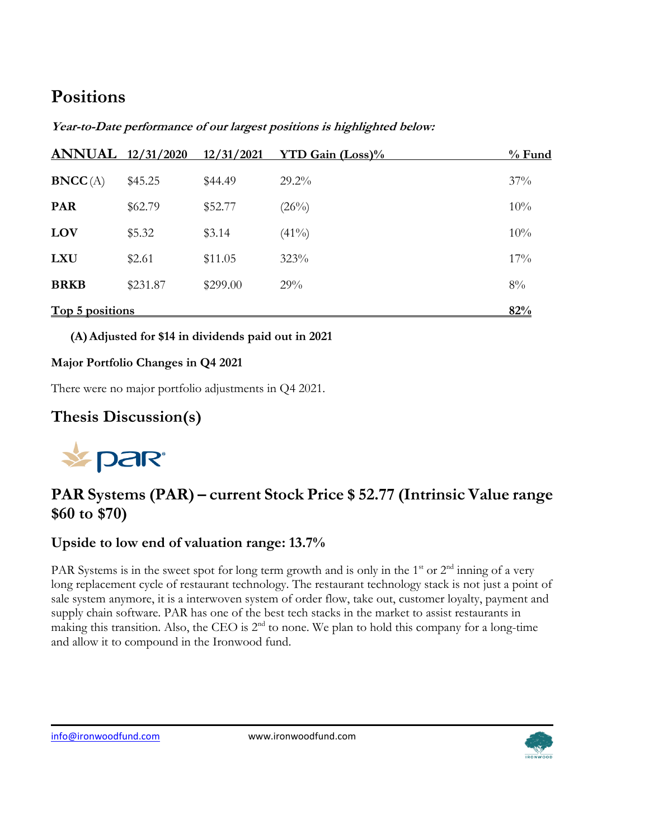# **Positions**

| <b>ANNUAL</b> 12/31/2020 |          | 12/31/2021 | <b>YTD Gain (Loss)%</b> | $%$ Fund |
|--------------------------|----------|------------|-------------------------|----------|
| BNCC(A)                  | \$45.25  | \$44.49    | $29.2\%$                | 37%      |
| <b>PAR</b>               | \$62.79  | \$52.77    | (26%)                   | 10%      |
| LOV                      | \$5.32   | \$3.14     | $(41\%)$                | 10%      |
| <b>LXU</b>               | \$2.61   | \$11.05    | 323%                    | 17%      |
| <b>BRKB</b>              | \$231.87 | \$299.00   | 29%                     | 8%       |
| <b>Top 5 positions</b>   |          |            |                         | 82%      |

**(A)Adjusted for \$14 in dividends paid out in 2021**

### **Major Portfolio Changes in Q4 2021**

There were no major portfolio adjustments in Q4 2021.

## **Thesis Discussion(s)**



## **PAR Systems (PAR) – current Stock Price \$ 52.77 (Intrinsic Value range \$60 to \$70)**

### **Upside to low end of valuation range: 13.7%**

PAR Systems is in the sweet spot for long term growth and is only in the 1<sup>st</sup> or  $2<sup>nd</sup>$  inning of a very long replacement cycle of restaurant technology. The restaurant technology stack is not just a point of sale system anymore, it is a interwoven system of order flow, take out, customer loyalty, payment and supply chain software. PAR has one of the best tech stacks in the market to assist restaurants in making this transition. Also, the CEO is 2<sup>nd</sup> to none. We plan to hold this company for a long-time and allow it to compound in the Ironwood fund.

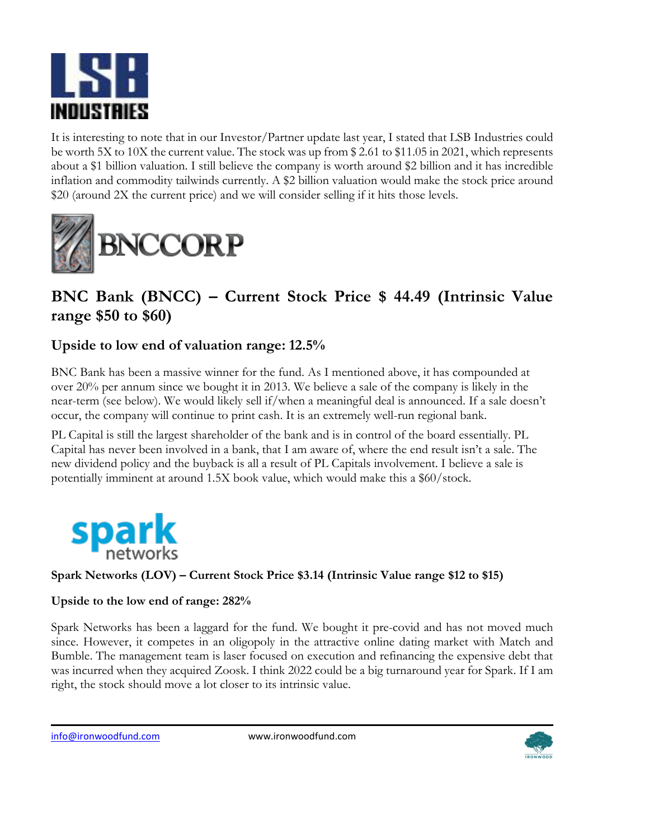

It is interesting to note that in our Investor/Partner update last year, I stated that LSB Industries could be worth 5X to 10X the current value. The stock was up from \$ 2.61 to \$11.05 in 2021, which represents about a \$1 billion valuation. I still believe the company is worth around \$2 billion and it has incredible inflation and commodity tailwinds currently. A \$2 billion valuation would make the stock price around \$20 (around 2X the current price) and we will consider selling if it hits those levels.



## **BNC Bank (BNCC) – Current Stock Price \$ 44.49 (Intrinsic Value range \$50 to \$60)**

### **Upside to low end of valuation range: 12.5%**

BNC Bank has been a massive winner for the fund. As I mentioned above, it has compounded at over 20% per annum since we bought it in 2013. We believe a sale of the company is likely in the near-term (see below). We would likely sell if/when a meaningful deal is announced. If a sale doesn't occur, the company will continue to print cash. It is an extremely well-run regional bank.

PL Capital is still the largest shareholder of the bank and is in control of the board essentially. PL Capital has never been involved in a bank, that I am aware of, where the end result isn't a sale. The new dividend policy and the buyback is all a result of PL Capitals involvement. I believe a sale is potentially imminent at around 1.5X book value, which would make this a \$60/stock.



#### **Spark Networks (LOV) – Current Stock Price \$3.14 (Intrinsic Value range \$12 to \$15)**

#### **Upside to the low end of range: 282%**

Spark Networks has been a laggard for the fund. We bought it pre-covid and has not moved much since. However, it competes in an oligopoly in the attractive online dating market with Match and Bumble. The management team is laser focused on execution and refinancing the expensive debt that was incurred when they acquired Zoosk. I think 2022 could be a big turnaround year for Spark. If I am right, the stock should move a lot closer to its intrinsic value.